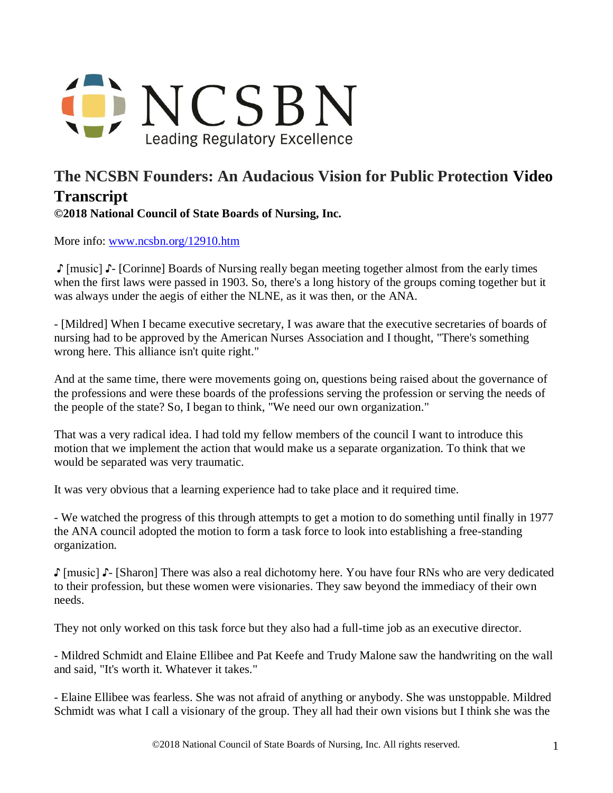

## **The NCSBN Founders: An Audacious Vision for Public Protection Video Transcript ©2018 National Council of State Boards of Nursing, Inc.**

More info: [www.ncsbn.org/12910.htm](http://www.ncsbn.org/12910.htm)

♪ [music] ♪- [Corinne] Boards of Nursing really began meeting together almost from the early times when the first laws were passed in 1903. So, there's a long history of the groups coming together but it was always under the aegis of either the NLNE, as it was then, or the ANA.

- [Mildred] When I became executive secretary, I was aware that the executive secretaries of boards of nursing had to be approved by the American Nurses Association and I thought, "There's something wrong here. This alliance isn't quite right."

And at the same time, there were movements going on, questions being raised about the governance of the professions and were these boards of the professions serving the profession or serving the needs of the people of the state? So, I began to think, "We need our own organization."

That was a very radical idea. I had told my fellow members of the council I want to introduce this motion that we implement the action that would make us a separate organization. To think that we would be separated was very traumatic.

It was very obvious that a learning experience had to take place and it required time.

- We watched the progress of this through attempts to get a motion to do something until finally in 1977 the ANA council adopted the motion to form a task force to look into establishing a free-standing organization.

♪ [music] ♪- [Sharon] There was also a real dichotomy here. You have four RNs who are very dedicated to their profession, but these women were visionaries. They saw beyond the immediacy of their own needs.

They not only worked on this task force but they also had a full-time job as an executive director.

- Mildred Schmidt and Elaine Ellibee and Pat Keefe and Trudy Malone saw the handwriting on the wall and said, "It's worth it. Whatever it takes."

- Elaine Ellibee was fearless. She was not afraid of anything or anybody. She was unstoppable. Mildred Schmidt was what I call a visionary of the group. They all had their own visions but I think she was the